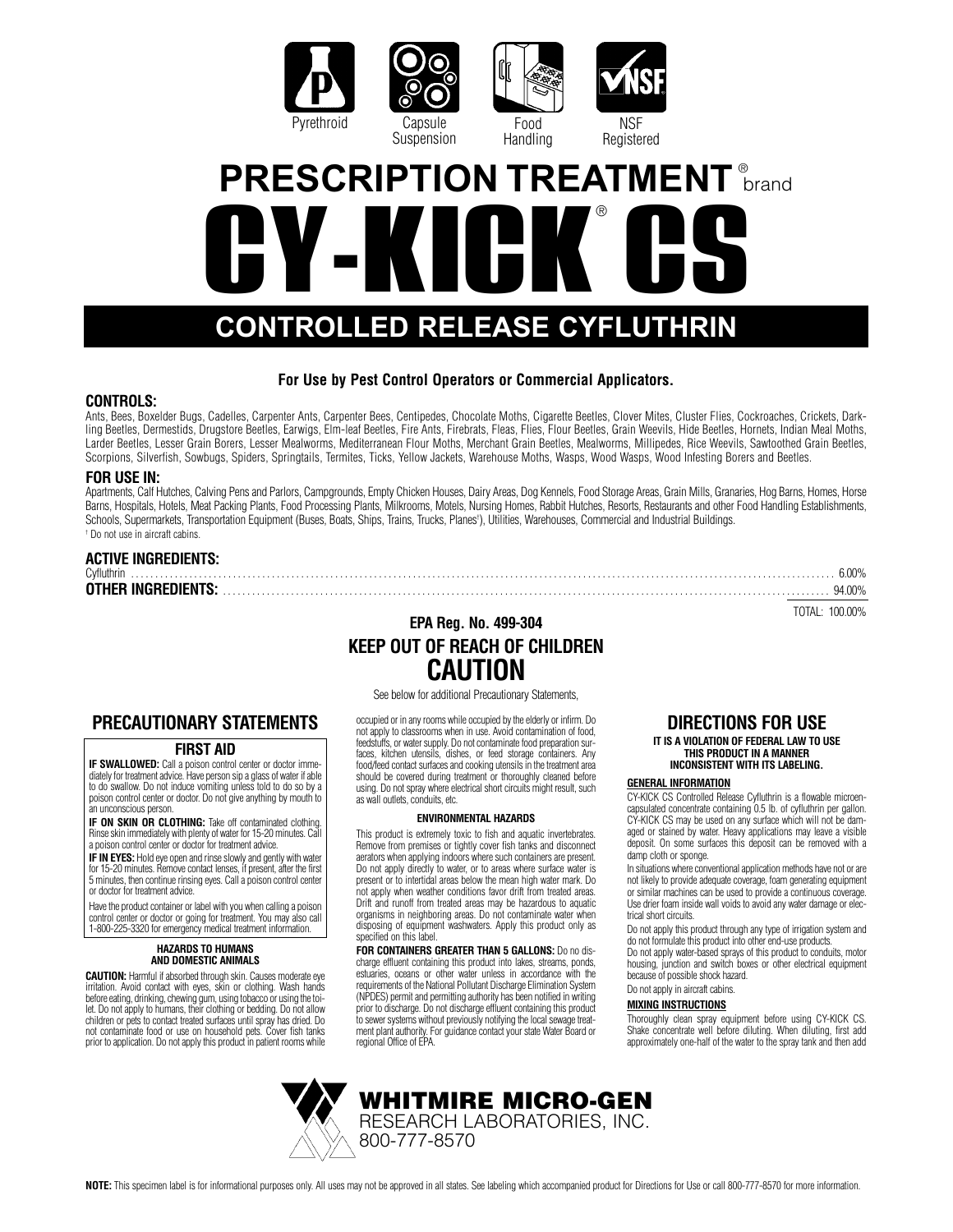

# **CY-KICK CS CONTROLLED RELEASE CYFLUTHRIN** ® **PRESCRIPTION TREATMENT brand**

### **For Use by Pest Control Operators or Commercial Applicators.**

#### **CONTROLS:**

Ants, Bees, Boxelder Bugs, Cadelles, Carpenter Ants, Carpenter Bees, Centipedes, Chocolate Moths, Cigarette Beetles, Clover Mites, Cluster Flies, Cockroaches, Crickets, Darkling Beetles, Dermestids, Drugstore Beetles, Earwigs, Elm-leaf Beetles, Fire Ants, Firebrats, Fleas, Flies, Flour Beetles, Grain Weevils, Hide Beetles, Hornets, Indian Meal Moths, Larder Beetles, Lesser Grain Borers, Lesser Mealworms, Mediterranean Flour Moths, Merchant Grain Beetles, Mealworms, Millipedes, Rice Weevils, Sawtoothed Grain Beetles, Scorpions, Silverfish, Sowbugs, Spiders, Springtails, Termites, Ticks, Yellow Jackets, Warehouse Moths, Wasps, Wood Wasps, Wood Infesting Borers and Beetles.

#### **FOR USE IN:**

Apartments, Calf Hutches, Calving Pens and Parlors, Campgrounds, Empty Chicken Houses, Dairy Areas, Dog Kennels, Food Storage Areas, Grain Mills, Granaries, Hog Barns, Homes, Horse Barns, Hospitals, Hotels, Meat Packing Plants, Food Processing Plants, Milkrooms, Motels, Nursing Homes, Rabbit Hutches, Resorts, Restaurants and other Food Handling Establishments, Schools, Supermarkets, Transportation Equipment (Buses, Boats, Ships, Trains, Trucks, Planes† ), Utilities, Warehouses, Commercial and Industrial Buildings. † Do not use in aircraft cabins.

#### **ACTIVE INGREDIENTS:** Cyfluthrin . . . . . . . . . . . . . . . . . . . . . . . . . . . . . . . . . . . . . . . . . . . . . . . . . . . . . . . . . . . . . . . . . . . . . . . . . . . . . . . . . . . . . . . . . . . . . . . . . . . . . . . . . . . . . . . . . . . . . . . . . . . . . . . . . . . . . . . . . . . . . . . . . 6.00% **OTHER INGREDIENTS:** 400%

TOTAL: 100.00%

### **EPA Reg. No. 499-304 KEEP OUT OF REACH OF CHILDREN CAUTION**

See below for additional Precautionary Statements,

occupied or in any rooms while occupied by the elderly or infirm. Do not apply to classrooms when in use. Avoid contamination of food, feedstuffs, or water supply. Do not contaminate food preparation surfaces, kitchen utensils, dishes, or feed storage containers. Any food/feed contact surfaces and cooking utensils in the treatment area should be covered during treatment or thoroughly cleaned before using. Do not spray where electrical short circuits might result, such as wall outlets, conduits, etc.

#### **ENVIRONMENTAL HAZARDS**

This product is extremely toxic to fish and aquatic invertebrates. Remove from premises or tightly cover fish tanks and disconnect aerators when applying indoors where such containers are present. Do not apply directly to water, or to areas where surface water is present or to intertidal areas below the mean high water mark. Do not apply when weather conditions favor drift from treated areas. Drift and runoff from treated areas may be hazardous to aquatic organisms in neighboring areas. Do not contaminate water when disposing of equipment washwaters. Apply this product only as specified on this label.

**FOR CONTAINERS GREATER THAN 5 GALLONS:** Do no discharge effluent containing this product into lakes, streams, ponds, estuaries, oceans or other water unless in accordance with the requirements of the National Pollutant Discharge Elimination System (NPDES) permit and permitting authority has been notified in writing prior to discharge. Do not discharge effluent containing this product to sewer systems without previously notifying the local sewage treatment plant authority. For guidance contact your state Water Board or regional Office of EPA

### **DIRECTIONS FOR USE**

#### **IT IS A VIOLATION OF FEDERAL LAW TO USE THIS PRODUCT IN A MANNER INCONSISTENT WITH ITS LABELING.**

#### **GENERAL INFORMATION**

CY-KICK CS Controlled Release Cyfluthrin is a flowable microencapsulated concentrate containing 0.5 lb. of cyfluthrin per gallon. CY-KICK CS may be used on any surface which will not be damaged or stained by water. Heavy applications may leave a visible deposit. On some surfaces this deposit can be removed with a damp cloth or sponge.

In situations where conventional application methods have not or are not likely to provide adequate coverage, foam generating equipment or similar machines can be used to provide a continuous coverage. Use drier foam inside wall voids to avoid any water damage or electrical short circuits.

Do not apply this product through any type of irrigation system and do not formulate this product into other end-use products.

Do not apply water-based sprays of this product to conduits, motor housing, junction and switch boxes or other electrical equipment because of possible shock hazard.

Do not apply in aircraft cabins.

#### **MIXING INSTRUCTIONS**

Thoroughly clean spray equipment before using CY-KICK CS. Shake concentrate well before diluting. When diluting, first add approximately one-half of the water to the spray tank and then add



#### **FIRST AID**

**IF SWALLOWED:** Call a poison control center or doctor immediately for treatment advice. Have person sip a glass of water if able to do swallow. Do not induce vomiting unless told to do so by a poison control center or doctor. Do not give anything by mouth to an unconscious person.

**IF ON SKIN OR CLOTHING:** Take off contaminated clothing. Rinse skin immediately with plenty of water for 15-20 minutes. Call a poison control center or doctor for treatment advice.

**IF IN EYES:** Hold eye open and rinse slowly and gently with water for 15-20 minutes. Remove contact lenses, if present, after the first 5 minutes, then continue rinsing eyes. Call a poison control center or doctor for treatment advice.

Have the product container or label with you when calling a poison control center or doctor or going for treatment. You may also call 1-800-225-3320 for emergency medical treatment information.

#### **HAZARDS TO HUMANS AND DOMESTIC ANIMALS**

**CAUTION:** Harmful if absorbed through skin. Causes moderate eye irritation. Avoid contact with eyes, skin or clothing. Wash hands before eating, drinking, chewing gum, using tobacco or using the toi-<br>let. Do not apply to humans, their clothing or bedding. Do not allow<br>children or pets to contact treated surfaces until spray has dried. Do<br>not contamin prior to application. Do not apply this product in patient rooms while